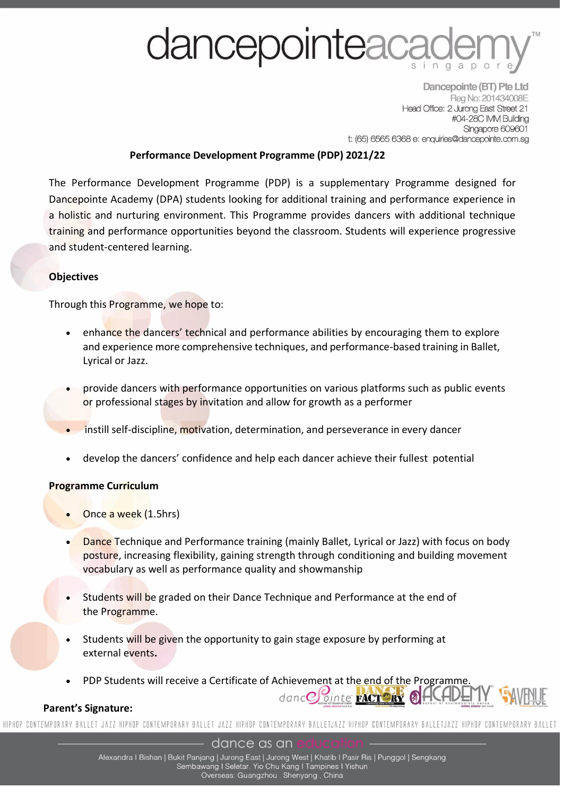

Dancepointe (BT) Pte Ltd Reg No: 201434008E Head Office: 2 Jurong East Street 21 #04-28C IMM Building Singapore 609601 t: (65) 6565 6368 e: enquiries@dancepointe.com.sg

### **Performance Development Programme (PDP) 2021/22**

The Performance Development Programme (PDP) is a supplementary Programme designed for Dancepointe Academy (DPA) students looking for additional training and performance experience in a holistic and nurturing environment. This Programme provides dancers with additional technique training and performance opportunities beyond the classroom. Students will experience progressive and student-centered learning.

### **Objectives**

Through this Programme, we hope to:

- enhance the dancers' technical and performance abilities by encouraging them to explore and experience more comprehensive techniques, and performance-based training in Ballet, Lyrical or Jazz.
- provide dancers with performance opportunities on various platforms such as public events or professional stages by invitation and allow for growth as a performer
- instill self-discipline, motivation, determination, and perseverance in every dancer
- develop the dancers' confidence and help each dancer achieve their fullest potential

### **Programme Curriculum**

- Once a week (1.5hrs)
- Dance Technique and Performance training (mainly Ballet, Lyrical or Jazz) with focus on body posture, increasing flexibility, gaining strength through conditioning and building movement vocabulary as well as performance quality and showmanship
- Students will be graded on their Dance Technique and Performance at the end of the Programme.
- Students will be given the opportunity to gain stage exposure by performing at external events**.**
- PDP Students will receive a Certificate of Achievement at the end of the Programme ointe FACTERY

#### **Parent's Signature:**

PORARY BALLET JAZZ HIPHOP CONTEMPORARY BALLET JAZZ HIPHOP CONTEMPORARY BALLETJAZZ HIPHOP CONTEMPORARY BALLETJAZZ HIPHOP CONTEMPORARY

dance as an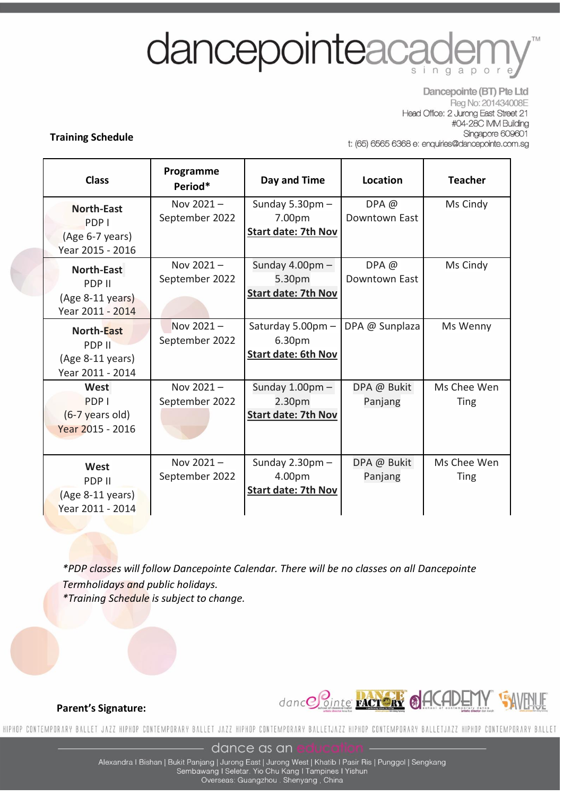# dancepointeacad

Dancepointe (BT) Pte Ltd Reg No: 201434008E Head Office: 2 Jurong East Street 21 #04-28C IMM Building Singapore 609601 t: (65) 6565 6368 e: enquiries@dancepointe.com.sq

#### **Class Programme Period\* Day and Time Location Teacher North-East** PDP I (Age 6-7 years) Year 2015 - 2016 Nov 2021 – September 2022 Sunday 5.30pm – 7.00pm **Start date: 7th Nov** DPA @ Downtown East Ms Cindy **North-East** PDP II (Age 8-11 years) Year 2011 - 2014 Nov 2021 – September 2022 Sunday 4.00pm – 5.30pm **Start date: 7th Nov** DPA @ Downtown East Ms Cindy **North-East** PDP II (Age 8-11 years) Year 2011 - 2014 Nov 2021 – September 2022 Saturday 5.00pm – 6.30pm **Start date: 6th Nov**  $DPA @ Sunplaza$  Ms Wenny **West** PDP I (6-7 years old) Year 2015 - 2016 Nov 2021 – September 2022 Sunday 1.00pm – 2.30pm **Start date: 7th Nov** DPA @ Bukit Panjang Ms Chee Wen **Ting West** PDP II (Age 8-11 years) Year 2011 - 2014 Nov 2021 – September 2022 Sunday 2.30pm – 4.00pm **Start date: 7th Nov** DPA @ Bukit Panjang Ms Chee Wen **Ting**

*\*PDP classes will follow Dancepointe Calendar. There will be no classes on all Dancepointe Termholidays and public holidays. \*Training Schedule is subject to change.*

**Parent's Signature:**

**Training Schedule**

dance *Cointe* **PACTORY** @ ACADEMY W

HIPHOP CONTEMPORARY BALLET JAZZ HIPHOP CONTEMPORARY BALLET JAZZ HIPHOP CONTEMPORARY BALLETJAZZ HIPHOP CONTEMPORARY BALLETJAZZ HIPHOP CONTEMPORARY BALLET

dance as an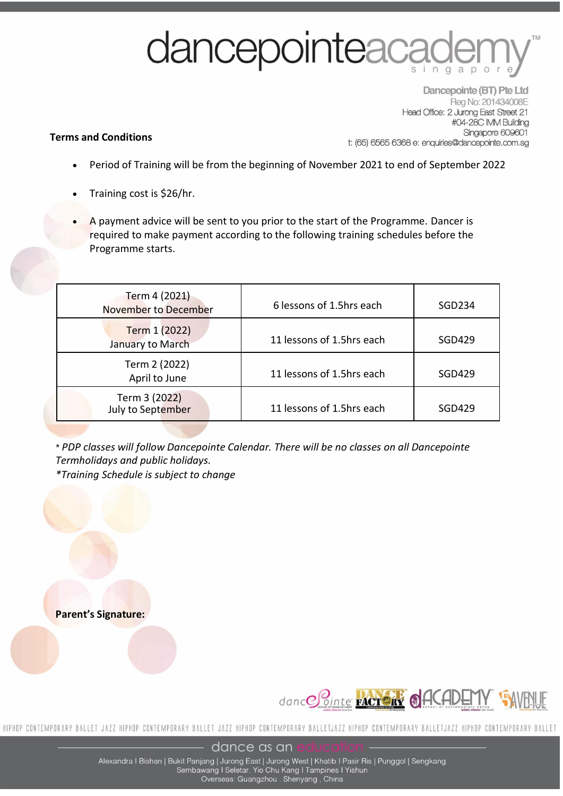### dancepointeaca sin

Dancepointe (BT) Pte Ltd Reg No: 201434008E Head Office: 2 Jurong East Street 21 #04-28C IMM Building Singapore 609601 t: (65) 6565 6368 e: enquiries@dancepointe.com.sg

### **Terms and Conditions**

- Period of Training will be from the beginning of November 2021 to end of September 2022
- Training cost is \$26/hr.
- A payment advice will be sent to you prior to the start of the Programme. Dancer is required to make payment according to the following training schedules before the Programme starts.

| Term 4 (2021)<br><b>November to December</b> | 6 lessons of 1.5hrs each  | SGD <sub>234</sub> |
|----------------------------------------------|---------------------------|--------------------|
| Term 1 (2022)<br>January to March            | 11 lessons of 1.5hrs each | SGD429             |
| Term 2 (2022)<br>April to June               | 11 lessons of 1.5hrs each | SGD429             |
| Term 3 (2022)<br>July to September           | 11 lessons of 1.5hrs each | SGD429             |

*\* PDP classes will follow Dancepointe Calendar. There will be no classes on all Dancepointe Termholidays and public holidays.*

*\*Training Schedule is subject to change*

**Parent's Signature:**



BALLET JAZZ HIPHOP CONTEMPORARY BALLET JAZZ HIPHOP CONTEMPORARY BALLETJAZZ HIPHOP CONTEMPORARY BALLETJAZZ HIPHOP CONTEMPORARY BALLET

dance as an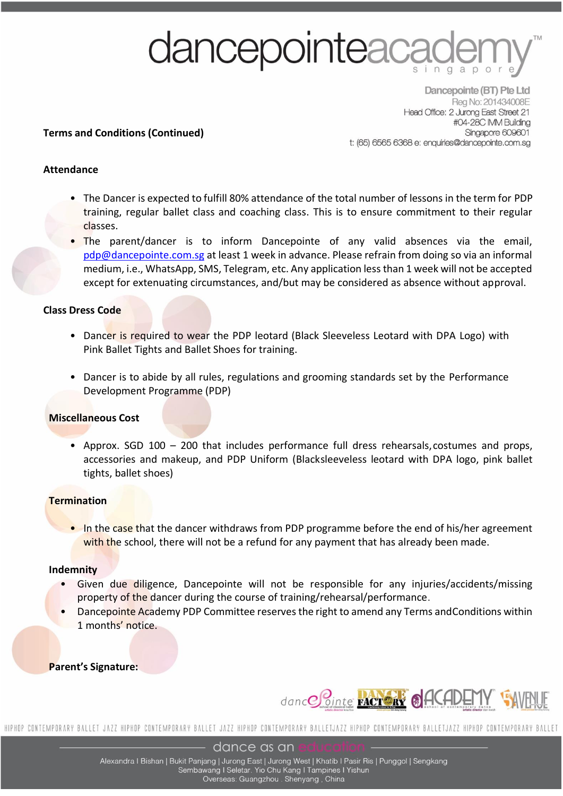## dancepointeaca sin

**Terms and Conditions (Continued)**

Dancepointe (BT) Pte Ltd Reg No: 201434008E Head Office: 2 Jurong East Street 21 #04-28C IMM Building Singapore 609601 t: (65) 6565 6368 e: enquiries@dancepointe.com.sq

### **Attendance**

- The Dancer is expected to fulfill 80% attendance of the total number of lessons in the term for PDP training, regular ballet class and coaching class. This is to ensure commitment to their regular classes.
- The parent/dancer is to inform Dancepointe of any valid absences via the email, [pdp@dancepointe.com.sg](mailto:pdp@dancepointe.com.sg) at least 1 week in advance. Please refrain from doing so via an informal medium, i.e., WhatsApp, SMS, Telegram, etc. Any application less than 1 week will not be accepted except for extenuating circumstances, and/but may be considered as absence without approval.

### **Class Dress Code**

- Dancer is required to wear the PDP leotard (Black Sleeveless Leotard with DPA Logo) with Pink Ballet Tights and Ballet Shoes for training.
- Dancer is to abide by all rules, regulations and grooming standards set by the Performance Development Programme (PDP)

### **Miscellaneous Cost**

• Approx. SGD 100 – 200 that includes performance full dress rehearsals,costumes and props, accessories and makeup, and PDP Uniform (Blacksleeveless leotard with DPA logo, pink ballet tights, ballet shoes)

### **Termination**

• In the case that the dancer withdraws from PDP programme before the end of his/her agreement with the school, there will not be a refund for any payment that has already been made.

### **Indemnity**

- Given due diligence, Dancepointe will not be responsible for any injuries/accidents/missing property of the dancer during the course of training/rehearsal/performance.
- Dancepointe Academy PDP Committee reserves the right to amend any Terms and Conditions within 1 months' notice.

**Parent's Signature:**



HIPHOP CONTEMPORARY BALLET JAZZ HIPHOP CONTEMPORARY BALLET JAZZ HIPHOP CONTEMPORARY BALLETJAZZ HIPHOP CONTEMPORARY BALLETJAZZ HIPHOP CONTEMPORARY BALLET

dance as an